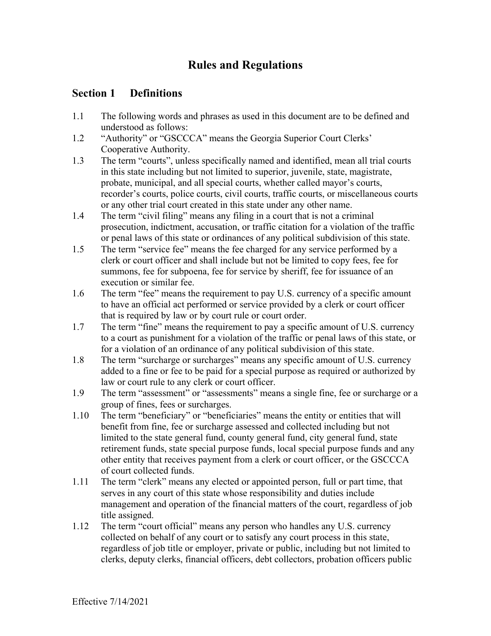# **Rules and Regulations**

### **Section 1 Definitions**

- 1.1 The following words and phrases as used in this document are to be defined and understood as follows:
- 1.2 "Authority" or "GSCCCA" means the Georgia Superior Court Clerks' Cooperative Authority.
- 1.3 The term "courts", unless specifically named and identified, mean all trial courts in this state including but not limited to superior, juvenile, state, magistrate, probate, municipal, and all special courts, whether called mayor's courts, recorder's courts, police courts, civil courts, traffic courts, or miscellaneous courts or any other trial court created in this state under any other name.
- 1.4 The term "civil filing" means any filing in a court that is not a criminal prosecution, indictment, accusation, or traffic citation for a violation of the traffic or penal laws of this state or ordinances of any political subdivision of this state.
- 1.5 The term "service fee" means the fee charged for any service performed by a clerk or court officer and shall include but not be limited to copy fees, fee for summons, fee for subpoena, fee for service by sheriff, fee for issuance of an execution or similar fee.
- 1.6 The term "fee" means the requirement to pay U.S. currency of a specific amount to have an official act performed or service provided by a clerk or court officer that is required by law or by court rule or court order.
- 1.7 The term "fine" means the requirement to pay a specific amount of U.S. currency to a court as punishment for a violation of the traffic or penal laws of this state, or for a violation of an ordinance of any political subdivision of this state.
- 1.8 The term "surcharge or surcharges" means any specific amount of U.S. currency added to a fine or fee to be paid for a special purpose as required or authorized by law or court rule to any clerk or court officer.
- 1.9 The term "assessment" or "assessments" means a single fine, fee or surcharge or a group of fines, fees or surcharges.
- 1.10 The term "beneficiary" or "beneficiaries" means the entity or entities that will benefit from fine, fee or surcharge assessed and collected including but not limited to the state general fund, county general fund, city general fund, state retirement funds, state special purpose funds, local special purpose funds and any other entity that receives payment from a clerk or court officer, or the GSCCCA of court collected funds.
- 1.11 The term "clerk" means any elected or appointed person, full or part time, that serves in any court of this state whose responsibility and duties include management and operation of the financial matters of the court, regardless of job title assigned.
- 1.12 The term "court official" means any person who handles any U.S. currency collected on behalf of any court or to satisfy any court process in this state, regardless of job title or employer, private or public, including but not limited to clerks, deputy clerks, financial officers, debt collectors, probation officers public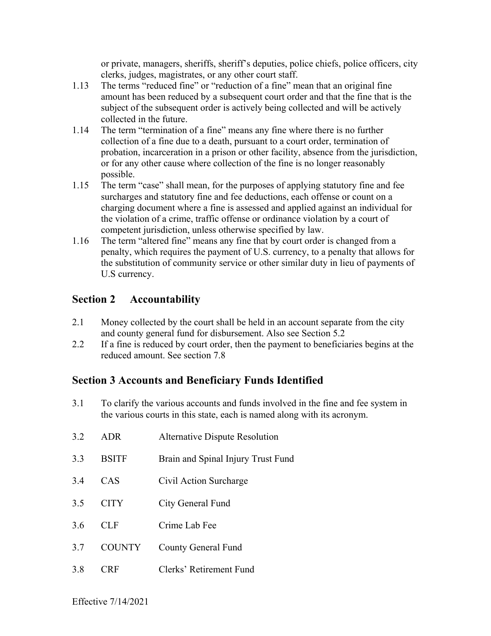or private, managers, sheriffs, sheriff's deputies, police chiefs, police officers, city clerks, judges, magistrates, or any other court staff.

- 1.13 The terms "reduced fine" or "reduction of a fine" mean that an original fine amount has been reduced by a subsequent court order and that the fine that is the subject of the subsequent order is actively being collected and will be actively collected in the future.
- 1.14 The term "termination of a fine" means any fine where there is no further collection of a fine due to a death, pursuant to a court order, termination of probation, incarceration in a prison or other facility, absence from the jurisdiction, or for any other cause where collection of the fine is no longer reasonably possible.
- 1.15 The term "case" shall mean, for the purposes of applying statutory fine and fee surcharges and statutory fine and fee deductions, each offense or count on a charging document where a fine is assessed and applied against an individual for the violation of a crime, traffic offense or ordinance violation by a court of competent jurisdiction, unless otherwise specified by law.
- 1.16 The term "altered fine" means any fine that by court order is changed from a penalty, which requires the payment of U.S. currency, to a penalty that allows for the substitution of community service or other similar duty in lieu of payments of U.S currency.

# **Section 2 Accountability**

- 2.1 Money collected by the court shall be held in an account separate from the city and county general fund for disbursement. Also see Section 5.2
- 2.2 If a fine is reduced by court order, then the payment to beneficiaries begins at the reduced amount. See section 7.8

### **Section 3 Accounts and Beneficiary Funds Identified**

3.1 To clarify the various accounts and funds involved in the fine and fee system in the various courts in this state, each is named along with its acronym.

| 3.2 | ADR.          | <b>Alternative Dispute Resolution</b> |
|-----|---------------|---------------------------------------|
| 3.3 | <b>BSITF</b>  | Brain and Spinal Injury Trust Fund    |
| 3.4 | CAS           | Civil Action Surcharge                |
| 3.5 | <b>CITY</b>   | City General Fund                     |
| 3.6 | CL F          | Crime Lab Fee                         |
| 3.7 | <b>COUNTY</b> | <b>County General Fund</b>            |
| 3.8 | RΕ            | Clerks' Retirement Fund               |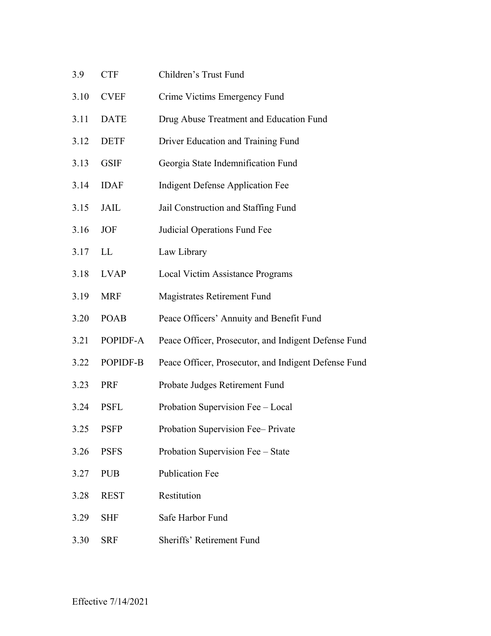| 3.9  | <b>CTF</b>  | Children's Trust Fund                                |
|------|-------------|------------------------------------------------------|
| 3.10 | <b>CVEF</b> | Crime Victims Emergency Fund                         |
| 3.11 | <b>DATE</b> | Drug Abuse Treatment and Education Fund              |
| 3.12 | <b>DETF</b> | Driver Education and Training Fund                   |
| 3.13 | <b>GSIF</b> | Georgia State Indemnification Fund                   |
| 3.14 | <b>IDAF</b> | <b>Indigent Defense Application Fee</b>              |
| 3.15 | JAIL        | Jail Construction and Staffing Fund                  |
| 3.16 | <b>JOF</b>  | Judicial Operations Fund Fee                         |
| 3.17 | LL          | Law Library                                          |
| 3.18 | <b>LVAP</b> | Local Victim Assistance Programs                     |
| 3.19 | <b>MRF</b>  | Magistrates Retirement Fund                          |
| 3.20 | <b>POAB</b> | Peace Officers' Annuity and Benefit Fund             |
| 3.21 | POPIDF-A    | Peace Officer, Prosecutor, and Indigent Defense Fund |
| 3.22 | POPIDF-B    | Peace Officer, Prosecutor, and Indigent Defense Fund |
| 3.23 | PRF         | Probate Judges Retirement Fund                       |
| 3.24 | <b>PSFL</b> | Probation Supervision Fee - Local                    |
| 3.25 | <b>PSFP</b> | Probation Supervision Fee-Private                    |
| 3.26 | <b>PSFS</b> | Probation Supervision Fee - State                    |
| 3.27 | <b>PUB</b>  | <b>Publication Fee</b>                               |
| 3.28 | <b>REST</b> | Restitution                                          |
| 3.29 | <b>SHF</b>  | Safe Harbor Fund                                     |
| 3.30 | <b>SRF</b>  | Sheriffs' Retirement Fund                            |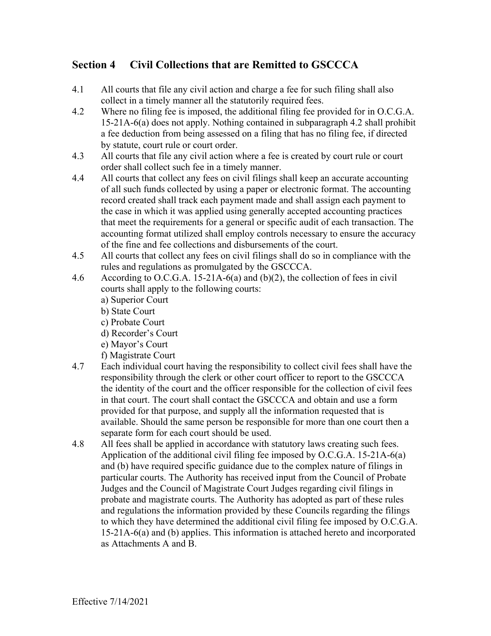# **Section 4 Civil Collections that are Remitted to GSCCCA**

- 4.1 All courts that file any civil action and charge a fee for such filing shall also collect in a timely manner all the statutorily required fees.
- 4.2 Where no filing fee is imposed, the additional filing fee provided for in O.C.G.A. 15-21A-6(a) does not apply. Nothing contained in subparagraph 4.2 shall prohibit a fee deduction from being assessed on a filing that has no filing fee, if directed by statute, court rule or court order.
- 4.3 All courts that file any civil action where a fee is created by court rule or court order shall collect such fee in a timely manner.
- 4.4 All courts that collect any fees on civil filings shall keep an accurate accounting of all such funds collected by using a paper or electronic format. The accounting record created shall track each payment made and shall assign each payment to the case in which it was applied using generally accepted accounting practices that meet the requirements for a general or specific audit of each transaction. The accounting format utilized shall employ controls necessary to ensure the accuracy of the fine and fee collections and disbursements of the court.
- 4.5 All courts that collect any fees on civil filings shall do so in compliance with the rules and regulations as promulgated by the GSCCCA.
- 4.6 According to O.C.G.A. 15-21A-6(a) and (b)(2), the collection of fees in civil courts shall apply to the following courts:
	- a) Superior Court
	- b) State Court
	- c) Probate Court
	- d) Recorder's Court
	- e) Mayor's Court
	- f) Magistrate Court
- 4.7 Each individual court having the responsibility to collect civil fees shall have the responsibility through the clerk or other court officer to report to the GSCCCA the identity of the court and the officer responsible for the collection of civil fees in that court. The court shall contact the GSCCCA and obtain and use a form provided for that purpose, and supply all the information requested that is available. Should the same person be responsible for more than one court then a separate form for each court should be used.
- 4.8 All fees shall be applied in accordance with statutory laws creating such fees. Application of the additional civil filing fee imposed by O.C.G.A. 15-21A-6(a) and (b) have required specific guidance due to the complex nature of filings in particular courts. The Authority has received input from the Council of Probate Judges and the Council of Magistrate Court Judges regarding civil filings in probate and magistrate courts. The Authority has adopted as part of these rules and regulations the information provided by these Councils regarding the filings to which they have determined the additional civil filing fee imposed by O.C.G.A. 15-21A-6(a) and (b) applies. This information is attached hereto and incorporated as Attachments A and B.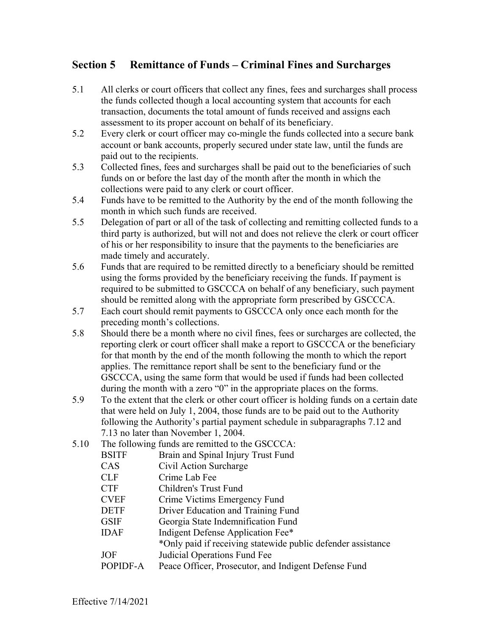# **Section 5 Remittance of Funds – Criminal Fines and Surcharges**

- 5.1 All clerks or court officers that collect any fines, fees and surcharges shall process the funds collected though a local accounting system that accounts for each transaction, documents the total amount of funds received and assigns each assessment to its proper account on behalf of its beneficiary.
- 5.2 Every clerk or court officer may co-mingle the funds collected into a secure bank account or bank accounts, properly secured under state law, until the funds are paid out to the recipients.
- 5.3 Collected fines, fees and surcharges shall be paid out to the beneficiaries of such funds on or before the last day of the month after the month in which the collections were paid to any clerk or court officer.
- 5.4 Funds have to be remitted to the Authority by the end of the month following the month in which such funds are received.
- 5.5 Delegation of part or all of the task of collecting and remitting collected funds to a third party is authorized, but will not and does not relieve the clerk or court officer of his or her responsibility to insure that the payments to the beneficiaries are made timely and accurately.
- 5.6 Funds that are required to be remitted directly to a beneficiary should be remitted using the forms provided by the beneficiary receiving the funds. If payment is required to be submitted to GSCCCA on behalf of any beneficiary, such payment should be remitted along with the appropriate form prescribed by GSCCCA.
- 5.7 Each court should remit payments to GSCCCA only once each month for the preceding month's collections.
- 5.8 Should there be a month where no civil fines, fees or surcharges are collected, the reporting clerk or court officer shall make a report to GSCCCA or the beneficiary for that month by the end of the month following the month to which the report applies. The remittance report shall be sent to the beneficiary fund or the GSCCCA, using the same form that would be used if funds had been collected during the month with a zero "0" in the appropriate places on the forms.
- 5.9 To the extent that the clerk or other court officer is holding funds on a certain date that were held on July 1, 2004, those funds are to be paid out to the Authority following the Authority's partial payment schedule in subparagraphs 7.12 and 7.13 no later than November 1, 2004.
- 5.10 The following funds are remitted to the GSCCCA:

| <b>BSITF</b> | Brain and Spinal Injury Trust Fund                           |
|--------------|--------------------------------------------------------------|
| CAS          | Civil Action Surcharge                                       |
| <b>CLF</b>   | Crime Lab Fee                                                |
| <b>CTF</b>   | Children's Trust Fund                                        |
| <b>CVEF</b>  | Crime Victims Emergency Fund                                 |
| <b>DETF</b>  | Driver Education and Training Fund                           |
| <b>GSIF</b>  | Georgia State Indemnification Fund                           |
| <b>IDAF</b>  | Indigent Defense Application Fee*                            |
|              | *Only paid if receiving statewide public defender assistance |
| <b>JOF</b>   | Judicial Operations Fund Fee                                 |
| POPIDF-A     | Peace Officer, Prosecutor, and Indigent Defense Fund         |
|              |                                                              |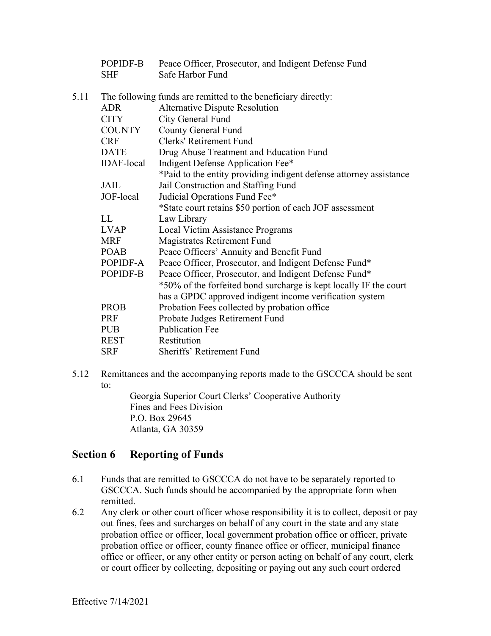|      | POPIDF-B<br><b>SHF</b> | Peace Officer, Prosecutor, and Indigent Defense Fund<br>Safe Harbor Fund |
|------|------------------------|--------------------------------------------------------------------------|
| 5.11 |                        | The following funds are remitted to the beneficiary directly:            |
|      | <b>ADR</b>             | <b>Alternative Dispute Resolution</b>                                    |
|      | <b>CITY</b>            | City General Fund                                                        |
|      | COUNTY                 | <b>County General Fund</b>                                               |
|      | <b>CRF</b>             | Clerks' Retirement Fund                                                  |
|      | <b>DATE</b>            | Drug Abuse Treatment and Education Fund                                  |
|      | <b>IDAF-local</b>      | Indigent Defense Application Fee*                                        |
|      |                        | *Paid to the entity providing indigent defense attorney assistance       |
|      | <b>JAIL</b>            | Jail Construction and Staffing Fund                                      |
|      | JOF-local              | Judicial Operations Fund Fee*                                            |
|      |                        | *State court retains \$50 portion of each JOF assessment                 |
|      | LL                     | Law Library                                                              |
|      | <b>LVAP</b>            | Local Victim Assistance Programs                                         |
|      | <b>MRF</b>             | Magistrates Retirement Fund                                              |
|      | <b>POAB</b>            | Peace Officers' Annuity and Benefit Fund                                 |
|      | POPIDF-A               | Peace Officer, Prosecutor, and Indigent Defense Fund*                    |
|      | POPIDF-B               | Peace Officer, Prosecutor, and Indigent Defense Fund*                    |
|      |                        | *50% of the forfeited bond surcharge is kept locally IF the court        |
|      |                        | has a GPDC approved indigent income verification system                  |
|      | <b>PROB</b>            | Probation Fees collected by probation office                             |
|      | <b>PRF</b>             | Probate Judges Retirement Fund                                           |
|      | <b>PUB</b>             | <b>Publication Fee</b>                                                   |
|      | <b>REST</b>            | Restitution                                                              |
|      | <b>SRF</b>             | Sheriffs' Retirement Fund                                                |
|      |                        |                                                                          |

5.12 Remittances and the accompanying reports made to the GSCCCA should be sent to:

Georgia Superior Court Clerks' Cooperative Authority Fines and Fees Division P.O. Box 29645 Atlanta, GA 30359

### **Section 6 Reporting of Funds**

- 6.1 Funds that are remitted to GSCCCA do not have to be separately reported to GSCCCA. Such funds should be accompanied by the appropriate form when remitted.
- 6.2 Any clerk or other court officer whose responsibility it is to collect, deposit or pay out fines, fees and surcharges on behalf of any court in the state and any state probation office or officer, local government probation office or officer, private probation office or officer, county finance office or officer, municipal finance office or officer, or any other entity or person acting on behalf of any court, clerk or court officer by collecting, depositing or paying out any such court ordered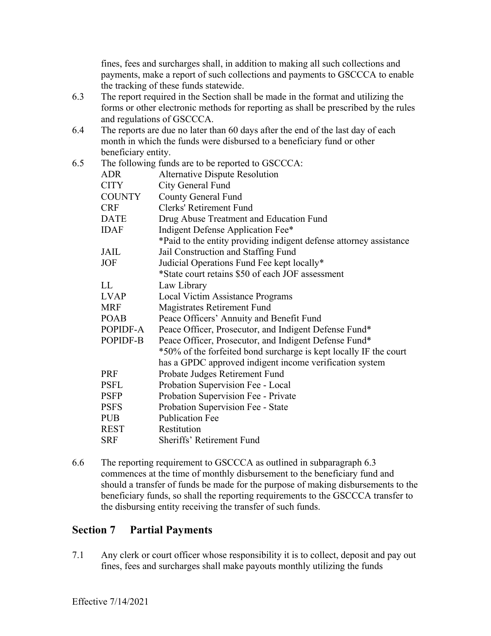fines, fees and surcharges shall, in addition to making all such collections and payments, make a report of such collections and payments to GSCCCA to enable the tracking of these funds statewide.

- 6.3 The report required in the Section shall be made in the format and utilizing the forms or other electronic methods for reporting as shall be prescribed by the rules and regulations of GSCCCA.
- 6.4 The reports are due no later than 60 days after the end of the last day of each month in which the funds were disbursed to a beneficiary fund or other beneficiary entity.

| 6.5 |               | The following funds are to be reported to GSCCCA:                  |
|-----|---------------|--------------------------------------------------------------------|
|     | <b>ADR</b>    | <b>Alternative Dispute Resolution</b>                              |
|     | <b>CITY</b>   | City General Fund                                                  |
|     | <b>COUNTY</b> | <b>County General Fund</b>                                         |
|     | <b>CRF</b>    | Clerks' Retirement Fund                                            |
|     | <b>DATE</b>   | Drug Abuse Treatment and Education Fund                            |
|     | <b>IDAF</b>   | Indigent Defense Application Fee*                                  |
|     |               | *Paid to the entity providing indigent defense attorney assistance |
|     | <b>JAIL</b>   | Jail Construction and Staffing Fund                                |
|     | <b>JOF</b>    | Judicial Operations Fund Fee kept locally*                         |
|     |               | *State court retains \$50 of each JOF assessment                   |
|     | LL.           | Law Library                                                        |
|     | <b>LVAP</b>   | Local Victim Assistance Programs                                   |
|     | <b>MRF</b>    | Magistrates Retirement Fund                                        |
|     | <b>POAB</b>   | Peace Officers' Annuity and Benefit Fund                           |
|     | POPIDF-A      | Peace Officer, Prosecutor, and Indigent Defense Fund*              |
|     | POPIDF-B      | Peace Officer, Prosecutor, and Indigent Defense Fund*              |
|     |               | *50% of the forfeited bond surcharge is kept locally IF the court  |
|     |               | has a GPDC approved indigent income verification system            |
|     | PRF           | Probate Judges Retirement Fund                                     |
|     | <b>PSFL</b>   | Probation Supervision Fee - Local                                  |
|     | <b>PSFP</b>   | Probation Supervision Fee - Private                                |
|     | <b>PSFS</b>   | Probation Supervision Fee - State                                  |
|     | <b>PUB</b>    | <b>Publication Fee</b>                                             |
|     | <b>REST</b>   | Restitution                                                        |
|     | <b>SRF</b>    | Sheriffs' Retirement Fund                                          |
|     |               |                                                                    |

6.6 The reporting requirement to GSCCCA as outlined in subparagraph 6.3 commences at the time of monthly disbursement to the beneficiary fund and should a transfer of funds be made for the purpose of making disbursements to the beneficiary funds, so shall the reporting requirements to the GSCCCA transfer to the disbursing entity receiving the transfer of such funds.

### **Section 7 Partial Payments**

7.1 Any clerk or court officer whose responsibility it is to collect, deposit and pay out fines, fees and surcharges shall make payouts monthly utilizing the funds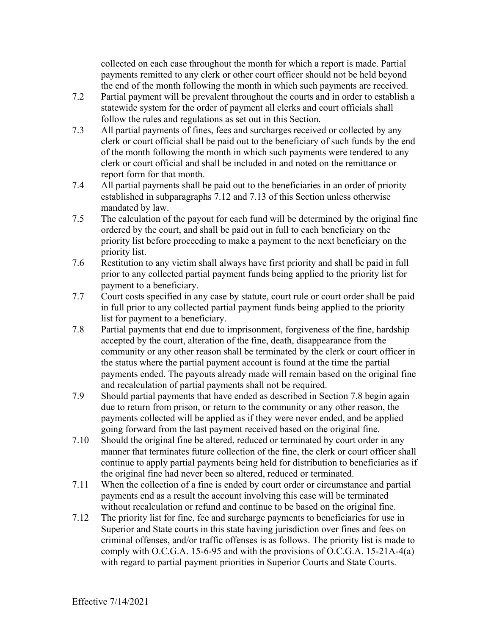collected on each case throughout the month for which a report is made. Partial payments remitted to any clerk or other court officer should not be held beyond the end of the month following the month in which such payments are received.

- 7.2 Partial payment will be prevalent throughout the courts and in order to establish a statewide system for the order of payment all clerks and court officials shall follow the rules and regulations as set out in this Section.
- 7.3 All partial payments of fines, fees and surcharges received or collected by any clerk or court official shall be paid out to the beneficiary of such funds by the end of the month following the month in which such payments were tendered to any clerk or court official and shall be included in and noted on the remittance or report form for that month.
- 7.4 All partial payments shall be paid out to the beneficiaries in an order of priority established in subparagraphs 7.12 and 7.13 of this Section unless otherwise mandated by law.
- 7.5 The calculation of the payout for each fund will be determined by the original fine ordered by the court, and shall be paid out in full to each beneficiary on the priority list before proceeding to make a payment to the next beneficiary on the priority list.
- 7.6 Restitution to any victim shall always have first priority and shall be paid in full prior to any collected partial payment funds being applied to the priority list for payment to a beneficiary.
- 7.7 Court costs specified in any case by statute, court rule or court order shall be paid in full prior to any collected partial payment funds being applied to the priority list for payment to a beneficiary.
- 7.8 Partial payments that end due to imprisonment, forgiveness of the fine, hardship accepted by the court, alteration of the fine, death, disappearance from the community or any other reason shall be terminated by the clerk or court officer in the status where the partial payment account is found at the time the partial payments ended. The payouts already made will remain based on the original fine and recalculation of partial payments shall not be required.
- 7.9 Should partial payments that have ended as described in Section 7.8 begin again due to return from prison, or return to the community or any other reason, the payments collected will be applied as if they were never ended, and be applied going forward from the last payment received based on the original fine.
- 7.10 Should the original fine be altered, reduced or terminated by court order in any manner that terminates future collection of the fine, the clerk or court officer shall continue to apply partial payments being held for distribution to beneficiaries as if the original fine had never been so altered, reduced or terminated.
- 7.11 When the collection of a fine is ended by court order or circumstance and partial payments end as a result the account involving this case will be terminated without recalculation or refund and continue to be based on the original fine.
- 7.12 The priority list for fine, fee and surcharge payments to beneficiaries for use in Superior and State courts in this state having jurisdiction over fines and fees on criminal offenses, and/or traffic offenses is as follows. The priority list is made to comply with O.C.G.A. 15-6-95 and with the provisions of O.C.G.A. 15-21A-4(a) with regard to partial payment priorities in Superior Courts and State Courts.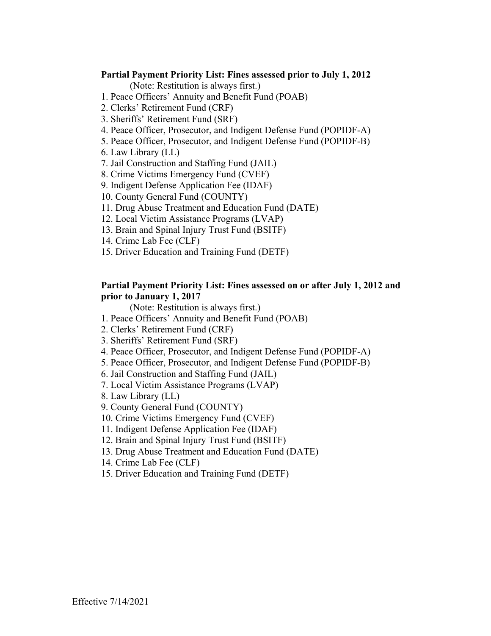#### **Partial Payment Priority List: Fines assessed prior to July 1, 2012**

(Note: Restitution is always first.)

- 1. Peace Officers' Annuity and Benefit Fund (POAB)
- 2. Clerks' Retirement Fund (CRF)
- 3. Sheriffs' Retirement Fund (SRF)
- 4. Peace Officer, Prosecutor, and Indigent Defense Fund (POPIDF-A)
- 5. Peace Officer, Prosecutor, and Indigent Defense Fund (POPIDF-B)
- 6. Law Library (LL)
- 7. Jail Construction and Staffing Fund (JAIL)
- 8. Crime Victims Emergency Fund (CVEF)
- 9. Indigent Defense Application Fee (IDAF)
- 10. County General Fund (COUNTY)
- 11. Drug Abuse Treatment and Education Fund (DATE)
- 12. Local Victim Assistance Programs (LVAP)
- 13. Brain and Spinal Injury Trust Fund (BSITF)
- 14. Crime Lab Fee (CLF)
- 15. Driver Education and Training Fund (DETF)

#### **Partial Payment Priority List: Fines assessed on or after July 1, 2012 and prior to January 1, 2017**

- 1. Peace Officers' Annuity and Benefit Fund (POAB)
- 2. Clerks' Retirement Fund (CRF)
- 3. Sheriffs' Retirement Fund (SRF)
- 4. Peace Officer, Prosecutor, and Indigent Defense Fund (POPIDF-A)
- 5. Peace Officer, Prosecutor, and Indigent Defense Fund (POPIDF-B)
- 6. Jail Construction and Staffing Fund (JAIL)
- 7. Local Victim Assistance Programs (LVAP)
- 8. Law Library (LL)
- 9. County General Fund (COUNTY)
- 10. Crime Victims Emergency Fund (CVEF)
- 11. Indigent Defense Application Fee (IDAF)
- 12. Brain and Spinal Injury Trust Fund (BSITF)
- 13. Drug Abuse Treatment and Education Fund (DATE)
- 14. Crime Lab Fee (CLF)
- 15. Driver Education and Training Fund (DETF)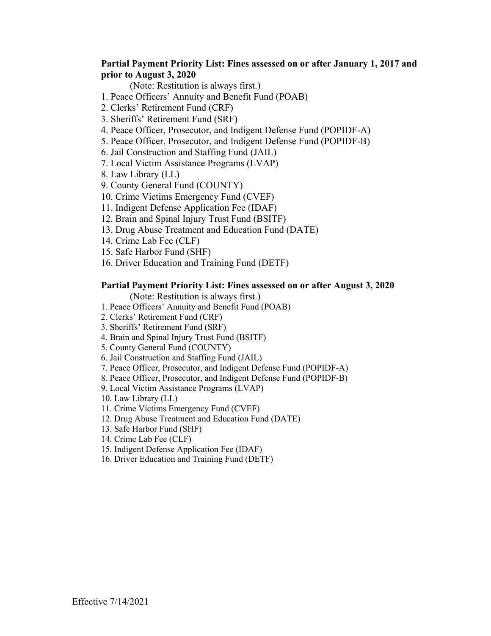### **Partial Payment Priority List: Fines assessed on or after January 1, 2017 and prior to August 3, 2020**

(Note: Restitution is always first.)

- 1. Peace Officers' Annuity and Benefit Fund (POAB)
- 2. Clerks' Retirement Fund (CRF)
- 3. Sheriffs' Retirement Fund (SRF)
- 4. Peace Officer, Prosecutor, and Indigent Defense Fund (POPIDF-A)
- 5. Peace Officer, Prosecutor, and Indigent Defense Fund (POPIDF-B)
- 6. Jail Construction and Staffing Fund (JAIL)
- 7. Local Victim Assistance Programs (LVAP)
- 8. Law Library (LL)
- 9. County General Fund (COUNTY)
- 10. Crime Victims Emergency Fund (CVEF)
- 11. Indigent Defense Application Fee (IDAF)
- 12. Brain and Spinal Injury Trust Fund (BSITF)
- 13. Drug Abuse Treatment and Education Fund (DATE)
- 14. Crime Lab Fee (CLF)
- 15. Safe Harbor Fund (SHF)
- 16. Driver Education and Training Fund (DETF)

#### **Partial Payment Priority List: Fines assessed on or after August 3, 2020**

- 1. Peace Officers' Annuity and Benefit Fund (POAB)
- 2. Clerks' Retirement Fund (CRF)
- 3. Sheriffs' Retirement Fund (SRF)
- 4. Brain and Spinal Injury Trust Fund (BSITF)
- 5. County General Fund (COUNTY)
- 6. Jail Construction and Staffing Fund (JAIL)
- 7. Peace Officer, Prosecutor, and Indigent Defense Fund (POPIDF-A)
- 8. Peace Officer, Prosecutor, and Indigent Defense Fund (POPIDF-B)
- 9. Local Victim Assistance Programs (LVAP)
- 10. Law Library (LL)
- 11. Crime Victims Emergency Fund (CVEF)
- 12. Drug Abuse Treatment and Education Fund (DATE)
- 13. Safe Harbor Fund (SHF)
- 14. Crime Lab Fee (CLF)
- 15. Indigent Defense Application Fee (IDAF)
- 16. Driver Education and Training Fund (DETF)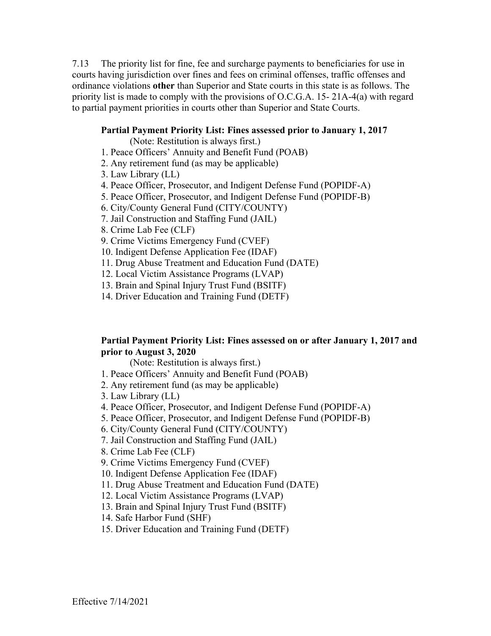7.13 The priority list for fine, fee and surcharge payments to beneficiaries for use in courts having jurisdiction over fines and fees on criminal offenses, traffic offenses and ordinance violations **other** than Superior and State courts in this state is as follows. The priority list is made to comply with the provisions of O.C.G.A. 15- 21A-4(a) with regard to partial payment priorities in courts other than Superior and State Courts.

#### **Partial Payment Priority List: Fines assessed prior to January 1, 2017**

(Note: Restitution is always first.)

- 1. Peace Officers' Annuity and Benefit Fund (POAB)
- 2. Any retirement fund (as may be applicable)
- 3. Law Library (LL)
- 4. Peace Officer, Prosecutor, and Indigent Defense Fund (POPIDF-A)
- 5. Peace Officer, Prosecutor, and Indigent Defense Fund (POPIDF-B)
- 6. City/County General Fund (CITY/COUNTY)
- 7. Jail Construction and Staffing Fund (JAIL)
- 8. Crime Lab Fee (CLF)
- 9. Crime Victims Emergency Fund (CVEF)
- 10. Indigent Defense Application Fee (IDAF)
- 11. Drug Abuse Treatment and Education Fund (DATE)
- 12. Local Victim Assistance Programs (LVAP)
- 13. Brain and Spinal Injury Trust Fund (BSITF)
- 14. Driver Education and Training Fund (DETF)

### **Partial Payment Priority List: Fines assessed on or after January 1, 2017 and prior to August 3, 2020**

- 1. Peace Officers' Annuity and Benefit Fund (POAB)
- 2. Any retirement fund (as may be applicable)
- 3. Law Library (LL)
- 4. Peace Officer, Prosecutor, and Indigent Defense Fund (POPIDF-A)
- 5. Peace Officer, Prosecutor, and Indigent Defense Fund (POPIDF-B)
- 6. City/County General Fund (CITY/COUNTY)
- 7. Jail Construction and Staffing Fund (JAIL)
- 8. Crime Lab Fee (CLF)
- 9. Crime Victims Emergency Fund (CVEF)
- 10. Indigent Defense Application Fee (IDAF)
- 11. Drug Abuse Treatment and Education Fund (DATE)
- 12. Local Victim Assistance Programs (LVAP)
- 13. Brain and Spinal Injury Trust Fund (BSITF)
- 14. Safe Harbor Fund (SHF)
- 15. Driver Education and Training Fund (DETF)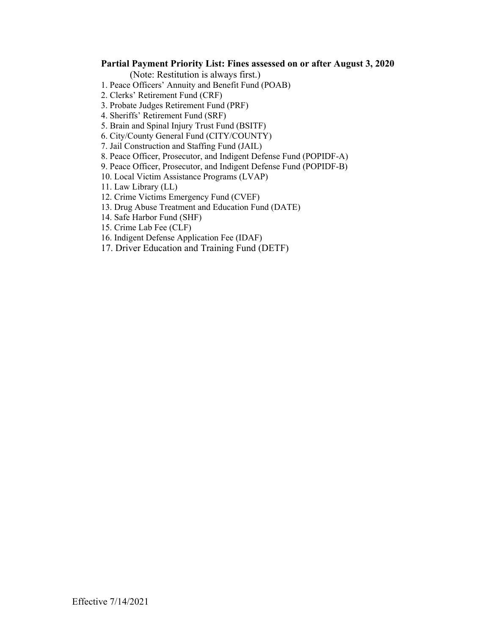#### **Partial Payment Priority List: Fines assessed on or after August 3, 2020**

- 1. Peace Officers' Annuity and Benefit Fund (POAB)
- 2. Clerks' Retirement Fund (CRF)
- 3. Probate Judges Retirement Fund (PRF)
- 4. Sheriffs' Retirement Fund (SRF)
- 5. Brain and Spinal Injury Trust Fund (BSITF)
- 6. City/County General Fund (CITY/COUNTY)
- 7. Jail Construction and Staffing Fund (JAIL)
- 8. Peace Officer, Prosecutor, and Indigent Defense Fund (POPIDF-A)
- 9. Peace Officer, Prosecutor, and Indigent Defense Fund (POPIDF-B)
- 10. Local Victim Assistance Programs (LVAP)
- 11. Law Library (LL)
- 12. Crime Victims Emergency Fund (CVEF)
- 13. Drug Abuse Treatment and Education Fund (DATE)
- 14. Safe Harbor Fund (SHF)
- 15. Crime Lab Fee (CLF)
- 16. Indigent Defense Application Fee (IDAF)
- 17. Driver Education and Training Fund (DETF)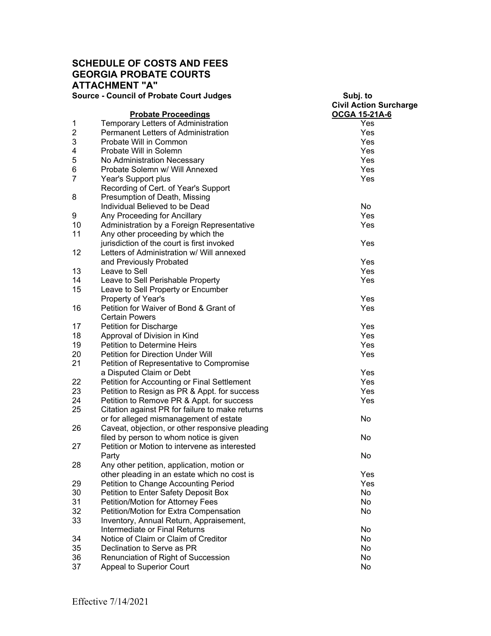### **SCHEDULE OF COSTS AND FEES GEORGIA PROBATE COURTS ATTACHMENT "A" Source - Council of Probate Court Judges**

| <b>Source - Council of Probate Court Judges</b> |                                                                                            | Subj. to<br><b>Civil Action Surcharge</b> |
|-------------------------------------------------|--------------------------------------------------------------------------------------------|-------------------------------------------|
|                                                 | <b>Probate Proceedings</b>                                                                 | OCGA 15-21A-6                             |
| 1                                               | Temporary Letters of Administration                                                        | Yes                                       |
| $\overline{2}$                                  | Permanent Letters of Administration                                                        | Yes                                       |
| 3                                               | Probate Will in Common                                                                     | Yes                                       |
| 4                                               | Probate Will in Solemn                                                                     | Yes                                       |
| 5                                               | No Administration Necessary                                                                | Yes                                       |
| 6                                               | Probate Solemn w/ Will Annexed                                                             | Yes                                       |
| 7                                               | Year's Support plus                                                                        | Yes                                       |
|                                                 | Recording of Cert. of Year's Support                                                       |                                           |
| 8                                               | Presumption of Death, Missing                                                              |                                           |
|                                                 | Individual Believed to be Dead                                                             | No                                        |
|                                                 |                                                                                            | Yes                                       |
| 9                                               | Any Proceeding for Ancillary                                                               |                                           |
| 10                                              | Administration by a Foreign Representative                                                 | Yes                                       |
| 11                                              | Any other proceeding by which the                                                          |                                           |
|                                                 | jurisdiction of the court is first invoked                                                 | Yes                                       |
| 12                                              | Letters of Administration w/ Will annexed                                                  |                                           |
|                                                 | and Previously Probated                                                                    | Yes                                       |
| 13                                              | Leave to Sell                                                                              | Yes                                       |
| 14                                              | Leave to Sell Perishable Property                                                          | Yes                                       |
| 15                                              | Leave to Sell Property or Encumber                                                         |                                           |
|                                                 | Property of Year's                                                                         | Yes                                       |
| 16                                              | Petition for Waiver of Bond & Grant of                                                     | Yes                                       |
|                                                 | <b>Certain Powers</b>                                                                      |                                           |
| 17                                              | Petition for Discharge                                                                     | Yes                                       |
| 18                                              | Approval of Division in Kind                                                               | Yes                                       |
| 19                                              | <b>Petition to Determine Heirs</b>                                                         | Yes                                       |
| 20                                              | Petition for Direction Under Will                                                          | Yes                                       |
| 21                                              | Petition of Representative to Compromise                                                   |                                           |
|                                                 | a Disputed Claim or Debt                                                                   | Yes                                       |
| 22                                              | Petition for Accounting or Final Settlement                                                | Yes                                       |
| 23                                              | Petition to Resign as PR & Appt. for success                                               | Yes                                       |
| 24                                              | Petition to Remove PR & Appt. for success                                                  | Yes                                       |
| 25                                              | Citation against PR for failure to make returns                                            |                                           |
|                                                 | or for alleged mismanagement of estate                                                     | No                                        |
| 26                                              | Caveat, objection, or other responsive pleading                                            |                                           |
|                                                 | filed by person to whom notice is given                                                    | No                                        |
| 27                                              | Petition or Motion to intervene as interested                                              |                                           |
|                                                 | Party                                                                                      | No                                        |
|                                                 |                                                                                            |                                           |
| 28                                              | Any other petition, application, motion or<br>other pleading in an estate which no cost is | Yes                                       |
|                                                 |                                                                                            |                                           |
| 29                                              | Petition to Change Accounting Period                                                       | Yes                                       |
| 30                                              | Petition to Enter Safety Deposit Box                                                       | No                                        |
| 31                                              | Petition/Motion for Attorney Fees                                                          | No                                        |
| 32                                              | Petition/Motion for Extra Compensation                                                     | No                                        |
| 33                                              | Inventory, Annual Return, Appraisement,                                                    |                                           |
|                                                 | Intermediate or Final Returns                                                              | No                                        |
| 34                                              | Notice of Claim or Claim of Creditor                                                       | No                                        |
| 35                                              | Declination to Serve as PR                                                                 | No                                        |
| 36                                              | Renunciation of Right of Succession                                                        | No                                        |
| 37                                              | <b>Appeal to Superior Court</b>                                                            | No                                        |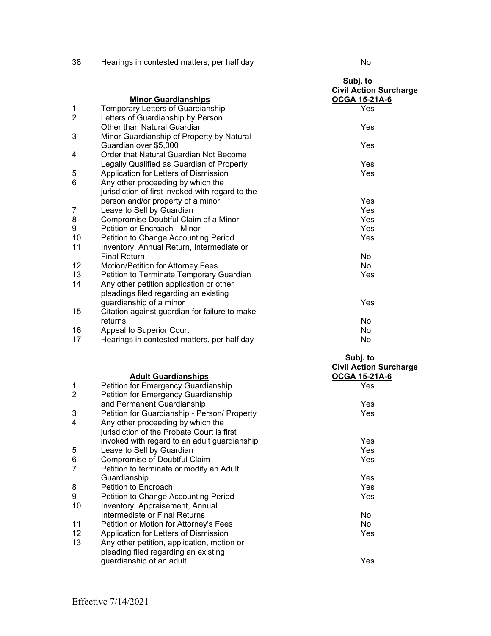|                |                                                                 | Subj. to<br><b>Civil Action Surcharge</b> |
|----------------|-----------------------------------------------------------------|-------------------------------------------|
| $\mathbf{1}$   | <b>Minor Guardianships</b><br>Temporary Letters of Guardianship | OCGA 15-21A-6<br>Yes                      |
| $\overline{2}$ | Letters of Guardianship by Person                               |                                           |
|                | Other than Natural Guardian                                     | Yes                                       |
| 3              | Minor Guardianship of Property by Natural                       |                                           |
|                | Guardian over \$5,000                                           | Yes                                       |
| 4              | Order that Natural Guardian Not Become                          |                                           |
|                | Legally Qualified as Guardian of Property                       | Yes                                       |
| 5              | Application for Letters of Dismission                           | Yes                                       |
| 6              | Any other proceeding by which the                               |                                           |
|                | jurisdiction of first invoked with regard to the                |                                           |
|                | person and/or property of a minor                               | Yes                                       |
| 7              | Leave to Sell by Guardian                                       | Yes                                       |
| 8              | Compromise Doubtful Claim of a Minor                            | Yes                                       |
| 9              | Petition or Encroach - Minor                                    | Yes                                       |
| 10             | Petition to Change Accounting Period                            | Yes                                       |
| 11             | Inventory, Annual Return, Intermediate or                       |                                           |
|                | <b>Final Return</b>                                             | N <sub>o</sub>                            |
| 12             | Motion/Petition for Attorney Fees                               | N <sub>o</sub>                            |
| 13             | Petition to Terminate Temporary Guardian                        | Yes                                       |
| 14             | Any other petition application or other                         |                                           |
|                | pleadings filed regarding an existing                           |                                           |
|                | guardianship of a minor                                         | Yes                                       |
| 15             | Citation against guardian for failure to make                   |                                           |
|                | returns                                                         | No                                        |
| 16             | Appeal to Superior Court                                        | <b>No</b>                                 |
| 17             | Hearings in contested matters, per half day                     | No                                        |
|                |                                                                 | Subj. to                                  |

|                                              | <b>Civil Action Surcharge</b><br>OCGA 15-21A-6                                                                                                                                                                               |
|----------------------------------------------|------------------------------------------------------------------------------------------------------------------------------------------------------------------------------------------------------------------------------|
|                                              | Yes                                                                                                                                                                                                                          |
| Petition for Emergency Guardianship          |                                                                                                                                                                                                                              |
| and Permanent Guardianship                   | Yes                                                                                                                                                                                                                          |
| Petition for Guardianship - Person/ Property | Yes                                                                                                                                                                                                                          |
| Any other proceeding by which the            |                                                                                                                                                                                                                              |
| jurisdiction of the Probate Court is first   |                                                                                                                                                                                                                              |
| invoked with regard to an adult guardianship | Yes                                                                                                                                                                                                                          |
| Leave to Sell by Guardian                    | Yes                                                                                                                                                                                                                          |
| Compromise of Doubtful Claim                 | Yes                                                                                                                                                                                                                          |
| Petition to terminate or modify an Adult     |                                                                                                                                                                                                                              |
| Guardianship                                 | Yes                                                                                                                                                                                                                          |
| Petition to Encroach                         | Yes                                                                                                                                                                                                                          |
| Petition to Change Accounting Period         | Yes                                                                                                                                                                                                                          |
| Inventory, Appraisement, Annual              |                                                                                                                                                                                                                              |
| Intermediate or Final Returns                | No.                                                                                                                                                                                                                          |
| Petition or Motion for Attorney's Fees       | No.                                                                                                                                                                                                                          |
|                                              | Yes                                                                                                                                                                                                                          |
|                                              |                                                                                                                                                                                                                              |
|                                              |                                                                                                                                                                                                                              |
|                                              | Yes                                                                                                                                                                                                                          |
|                                              | <b>Adult Guardianships</b><br>Petition for Emergency Guardianship<br>Application for Letters of Dismission<br>Any other petition, application, motion or<br>pleading filed regarding an existing<br>guardianship of an adult |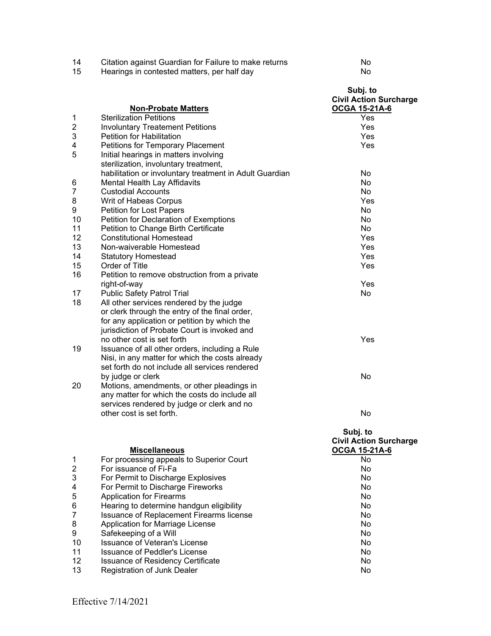| 14<br>15       | Citation against Guardian for Failure to make returns<br>Hearings in contested matters, per half day                                                                                                   | No<br>No                                                   |
|----------------|--------------------------------------------------------------------------------------------------------------------------------------------------------------------------------------------------------|------------------------------------------------------------|
|                | <b>Non-Probate Matters</b>                                                                                                                                                                             | Subj. to<br><b>Civil Action Surcharge</b><br>OCGA 15-21A-6 |
| 1              | <b>Sterilization Petitions</b>                                                                                                                                                                         | Yes                                                        |
| $\overline{c}$ | <b>Involuntary Treatement Petitions</b>                                                                                                                                                                | Yes                                                        |
| 3              | <b>Petition for Habilitation</b>                                                                                                                                                                       | Yes                                                        |
| 4<br>5         | Petitions for Temporary Placement<br>Initial hearings in matters involving<br>sterilization, involuntary treatment,                                                                                    | Yes                                                        |
|                | habilitation or involuntary treatment in Adult Guardian                                                                                                                                                | No                                                         |
| 6              | Mental Health Lay Affidavits                                                                                                                                                                           | No                                                         |
| 7              | <b>Custodial Accounts</b>                                                                                                                                                                              | No                                                         |
| 8              | Writ of Habeas Corpus                                                                                                                                                                                  | Yes                                                        |
| 9              | <b>Petition for Lost Papers</b>                                                                                                                                                                        | No                                                         |
| 10             | Petition for Declaration of Exemptions                                                                                                                                                                 | No                                                         |
| 11             | Petition to Change Birth Certificate                                                                                                                                                                   | No                                                         |
| 12             | <b>Constitutional Homestead</b>                                                                                                                                                                        | Yes                                                        |
| 13             | Non-waiverable Homestead                                                                                                                                                                               | Yes                                                        |
| 14             | <b>Statutory Homestead</b>                                                                                                                                                                             | Yes<br>Yes                                                 |
| 15             | Order of Title                                                                                                                                                                                         |                                                            |
| 16             | Petition to remove obstruction from a private                                                                                                                                                          |                                                            |
| 17             | right-of-way<br><b>Public Safety Patrol Trial</b>                                                                                                                                                      | Yes<br>No                                                  |
| 18             | All other services rendered by the judge<br>or clerk through the entry of the final order,<br>for any application or petition by which the<br>jurisdiction of Probate Court is invoked and             |                                                            |
| 19             | no other cost is set forth<br>Issuance of all other orders, including a Rule<br>Nisi, in any matter for which the costs already<br>set forth do not include all services rendered<br>by judge or clerk | Yes<br>No                                                  |
| 20             | Motions, amendments, or other pleadings in<br>any matter for which the costs do include all<br>services rendered by judge or clerk and no                                                              |                                                            |
|                | other cost is set forth.                                                                                                                                                                               | No                                                         |
|                | <b>Miscellaneous</b>                                                                                                                                                                                   | Subj. to<br><b>Civil Action Surcharge</b><br>OCGA 15-21A-6 |
| 1              | For processing appeals to Superior Court                                                                                                                                                               | <b>No</b>                                                  |
| 2              | For issuance of Fi-Fa                                                                                                                                                                                  | No                                                         |
| 3              | For Permit to Discharge Explosives                                                                                                                                                                     | No.                                                        |
| 4              | For Permit to Discharge Fireworks                                                                                                                                                                      | No.                                                        |
| 5              | <b>Application for Firearms</b>                                                                                                                                                                        | No.                                                        |
| 6              | Hearing to determine handgun eligibility                                                                                                                                                               | <b>No</b>                                                  |
| 7              | Issuance of Replacement Firearms license                                                                                                                                                               | <b>No</b>                                                  |
| 8              | Application for Marriage License                                                                                                                                                                       | N <sub>o</sub>                                             |
| 9              | Safekeeping of a Will                                                                                                                                                                                  | No                                                         |
| 10             | <b>Issuance of Veteran's License</b>                                                                                                                                                                   | No                                                         |
| 11             | <b>Issuance of Peddler's License</b>                                                                                                                                                                   | No                                                         |
| 12             | <b>Issuance of Residency Certificate</b>                                                                                                                                                               | No                                                         |

13 Registration of Junk Dealer No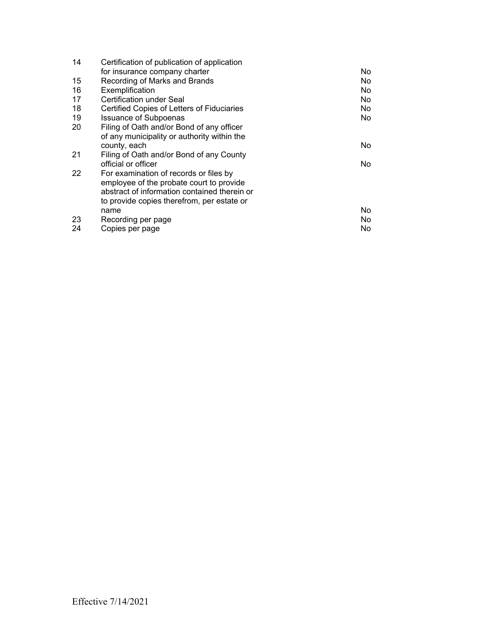| 14 | Certification of publication of application  |     |
|----|----------------------------------------------|-----|
|    | for insurance company charter                | No. |
| 15 | Recording of Marks and Brands                | No. |
| 16 | Exemplification                              | No. |
| 17 | Certification under Seal                     | No. |
| 18 | Certified Copies of Letters of Fiduciaries   | No. |
| 19 | <b>Issuance of Subpoenas</b>                 | No. |
| 20 | Filing of Oath and/or Bond of any officer    |     |
|    | of any municipality or authority within the  |     |
|    | county, each                                 | No. |
| 21 | Filing of Oath and/or Bond of any County     |     |
|    | official or officer                          | No. |
| 22 | For examination of records or files by       |     |
|    | employee of the probate court to provide     |     |
|    | abstract of information contained therein or |     |
|    | to provide copies therefrom, per estate or   |     |
|    | name                                         | No. |
| 23 | Recording per page                           | No. |
| 24 | Copies per page                              | No. |